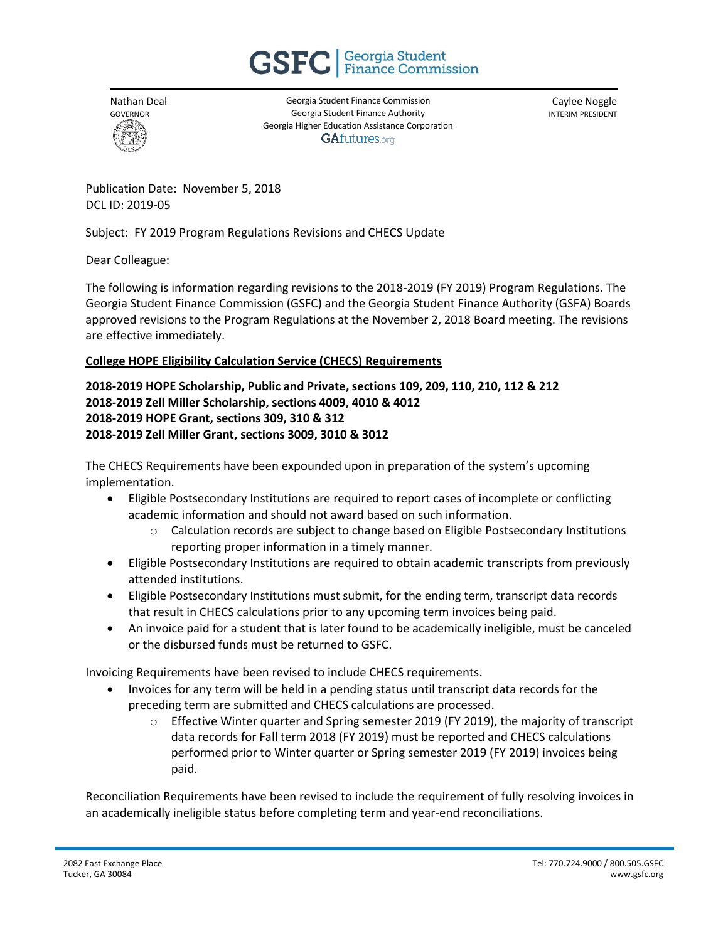



Georgia Student Finance Commission Georgia Student Finance Authority Georgia Higher Education Assistance Corporation **GAfutures.org** 

Caylee Noggle INTERIM PRESIDENT

Publication Date: November 5, 2018 DCL ID: 2019-05

Subject: FY 2019 Program Regulations Revisions and CHECS Update

## Dear Colleague:

The following is information regarding revisions to the 2018-2019 (FY 2019) Program Regulations. The Georgia Student Finance Commission (GSFC) and the Georgia Student Finance Authority (GSFA) Boards approved revisions to the Program Regulations at the November 2, 2018 Board meeting. The revisions are effective immediately.

## **College HOPE Eligibility Calculation Service (CHECS) Requirements**

## **2018-2019 HOPE Scholarship, Public and Private, sections 109, 209, 110, 210, 112 & 212 2018-2019 Zell Miller Scholarship, sections 4009, 4010 & 4012 2018-2019 HOPE Grant, sections 309, 310 & 312 2018-2019 Zell Miller Grant, sections 3009, 3010 & 3012**

The CHECS Requirements have been expounded upon in preparation of the system's upcoming implementation.

- Eligible Postsecondary Institutions are required to report cases of incomplete or conflicting academic information and should not award based on such information.
	- $\circ$  Calculation records are subject to change based on Eligible Postsecondary Institutions reporting proper information in a timely manner.
- Eligible Postsecondary Institutions are required to obtain academic transcripts from previously attended institutions.
- Eligible Postsecondary Institutions must submit, for the ending term, transcript data records that result in CHECS calculations prior to any upcoming term invoices being paid.
- An invoice paid for a student that is later found to be academically ineligible, must be canceled or the disbursed funds must be returned to GSFC.

Invoicing Requirements have been revised to include CHECS requirements.

- Invoices for any term will be held in a pending status until transcript data records for the preceding term are submitted and CHECS calculations are processed.
	- $\circ$  Effective Winter quarter and Spring semester 2019 (FY 2019), the majority of transcript data records for Fall term 2018 (FY 2019) must be reported and CHECS calculations performed prior to Winter quarter or Spring semester 2019 (FY 2019) invoices being paid.

Reconciliation Requirements have been revised to include the requirement of fully resolving invoices in an academically ineligible status before completing term and year-end reconciliations.